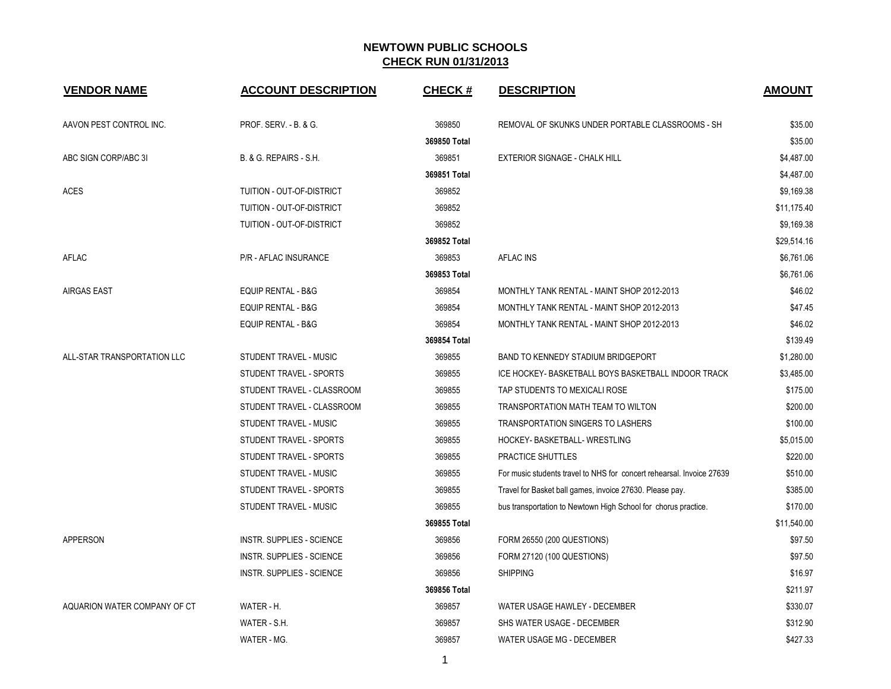| <b>VENDOR NAME</b>           | <b>ACCOUNT DESCRIPTION</b>       | <b>CHECK#</b> | <b>DESCRIPTION</b>                                                    | <b>AMOUNT</b> |
|------------------------------|----------------------------------|---------------|-----------------------------------------------------------------------|---------------|
| AAVON PEST CONTROL INC.      | PROF. SERV. - B. & G.            | 369850        | REMOVAL OF SKUNKS UNDER PORTABLE CLASSROOMS - SH                      | \$35.00       |
|                              |                                  | 369850 Total  |                                                                       | \$35.00       |
| ABC SIGN CORP/ABC 3I         | B. & G. REPAIRS - S.H.           | 369851        | <b>EXTERIOR SIGNAGE - CHALK HILL</b>                                  | \$4,487.00    |
|                              |                                  | 369851 Total  |                                                                       | \$4,487.00    |
| <b>ACES</b>                  | TUITION - OUT-OF-DISTRICT        | 369852        |                                                                       | \$9,169.38    |
|                              | TUITION - OUT-OF-DISTRICT        | 369852        |                                                                       | \$11,175.40   |
|                              | TUITION - OUT-OF-DISTRICT        | 369852        |                                                                       | \$9,169.38    |
|                              |                                  | 369852 Total  |                                                                       | \$29,514.16   |
| AFLAC                        | P/R - AFLAC INSURANCE            | 369853        | <b>AFLAC INS</b>                                                      | \$6,761.06    |
|                              |                                  | 369853 Total  |                                                                       | \$6,761.06    |
| <b>AIRGAS EAST</b>           | <b>EQUIP RENTAL - B&amp;G</b>    | 369854        | MONTHLY TANK RENTAL - MAINT SHOP 2012-2013                            | \$46.02       |
|                              | <b>EQUIP RENTAL - B&amp;G</b>    | 369854        | MONTHLY TANK RENTAL - MAINT SHOP 2012-2013                            | \$47.45       |
|                              | <b>EQUIP RENTAL - B&amp;G</b>    | 369854        | MONTHLY TANK RENTAL - MAINT SHOP 2012-2013                            | \$46.02       |
|                              |                                  | 369854 Total  |                                                                       | \$139.49      |
| ALL-STAR TRANSPORTATION LLC  | STUDENT TRAVEL - MUSIC           | 369855        | BAND TO KENNEDY STADIUM BRIDGEPORT                                    | \$1,280.00    |
|                              | STUDENT TRAVEL - SPORTS          | 369855        | ICE HOCKEY- BASKETBALL BOYS BASKETBALL INDOOR TRACK                   | \$3,485.00    |
|                              | STUDENT TRAVEL - CLASSROOM       | 369855        | TAP STUDENTS TO MEXICALI ROSE                                         | \$175.00      |
|                              | STUDENT TRAVEL - CLASSROOM       | 369855        | TRANSPORTATION MATH TEAM TO WILTON                                    | \$200.00      |
|                              | STUDENT TRAVEL - MUSIC           | 369855        | <b>TRANSPORTATION SINGERS TO LASHERS</b>                              | \$100.00      |
|                              | STUDENT TRAVEL - SPORTS          | 369855        | HOCKEY- BASKETBALL- WRESTLING                                         | \$5,015.00    |
|                              | STUDENT TRAVEL - SPORTS          | 369855        | PRACTICE SHUTTLES                                                     | \$220.00      |
|                              | STUDENT TRAVEL - MUSIC           | 369855        | For music students travel to NHS for concert rehearsal. Invoice 27639 | \$510.00      |
|                              | STUDENT TRAVEL - SPORTS          | 369855        | Travel for Basket ball games, invoice 27630. Please pay.              | \$385.00      |
|                              | STUDENT TRAVEL - MUSIC           | 369855        | bus transportation to Newtown High School for chorus practice.        | \$170.00      |
|                              |                                  | 369855 Total  |                                                                       | \$11,540.00   |
| <b>APPERSON</b>              | <b>INSTR. SUPPLIES - SCIENCE</b> | 369856        | FORM 26550 (200 QUESTIONS)                                            | \$97.50       |
|                              | <b>INSTR. SUPPLIES - SCIENCE</b> | 369856        | FORM 27120 (100 QUESTIONS)                                            | \$97.50       |
|                              | <b>INSTR. SUPPLIES - SCIENCE</b> | 369856        | <b>SHIPPING</b>                                                       | \$16.97       |
|                              |                                  | 369856 Total  |                                                                       | \$211.97      |
| AQUARION WATER COMPANY OF CT | WATER - H.                       | 369857        | WATER USAGE HAWLEY - DECEMBER                                         | \$330.07      |
|                              | WATER - S.H.                     | 369857        | SHS WATER USAGE - DECEMBER                                            | \$312.90      |
|                              | WATER - MG.                      | 369857        | WATER USAGE MG - DECEMBER                                             | \$427.33      |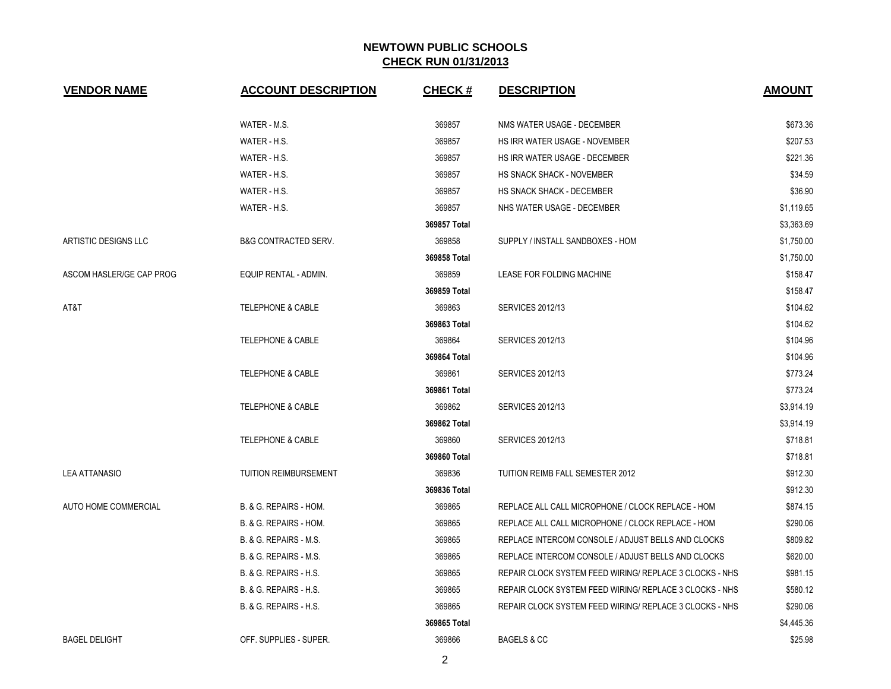|                          |                                 |              |                                                         | <b>AMOUNT</b> |
|--------------------------|---------------------------------|--------------|---------------------------------------------------------|---------------|
|                          | WATER - M.S.                    | 369857       | NMS WATER USAGE - DECEMBER                              | \$673.36      |
|                          | WATER - H.S.                    | 369857       | <b>HS IRR WATER USAGE - NOVEMBER</b>                    | \$207.53      |
|                          | WATER - H.S.                    | 369857       | HS IRR WATER USAGE - DECEMBER                           | \$221.36      |
|                          | WATER - H.S.                    | 369857       | <b>HS SNACK SHACK - NOVEMBER</b>                        | \$34.59       |
|                          | WATER - H.S.                    | 369857       | HS SNACK SHACK - DECEMBER                               | \$36.90       |
|                          | WATER - H.S.                    | 369857       | NHS WATER USAGE - DECEMBER                              | \$1,119.65    |
|                          |                                 | 369857 Total |                                                         | \$3,363.69    |
| ARTISTIC DESIGNS LLC     | <b>B&amp;G CONTRACTED SERV.</b> | 369858       | SUPPLY / INSTALL SANDBOXES - HOM                        | \$1,750.00    |
|                          |                                 | 369858 Total |                                                         | \$1,750.00    |
| ASCOM HASLER/GE CAP PROG | EQUIP RENTAL - ADMIN.           | 369859       | LEASE FOR FOLDING MACHINE                               | \$158.47      |
|                          |                                 | 369859 Total |                                                         | \$158.47      |
| AT&T                     | <b>TELEPHONE &amp; CABLE</b>    | 369863       | <b>SERVICES 2012/13</b>                                 | \$104.62      |
|                          |                                 | 369863 Total |                                                         | \$104.62      |
|                          | <b>TELEPHONE &amp; CABLE</b>    | 369864       | <b>SERVICES 2012/13</b>                                 | \$104.96      |
|                          |                                 | 369864 Total |                                                         | \$104.96      |
|                          | <b>TELEPHONE &amp; CABLE</b>    | 369861       | <b>SERVICES 2012/13</b>                                 | \$773.24      |
|                          |                                 | 369861 Total |                                                         | \$773.24      |
|                          | <b>TELEPHONE &amp; CABLE</b>    | 369862       | <b>SERVICES 2012/13</b>                                 | \$3,914.19    |
|                          |                                 | 369862 Total |                                                         | \$3,914.19    |
|                          | <b>TELEPHONE &amp; CABLE</b>    | 369860       | <b>SERVICES 2012/13</b>                                 | \$718.81      |
|                          |                                 | 369860 Total |                                                         | \$718.81      |
| <b>LEA ATTANASIO</b>     | <b>TUITION REIMBURSEMENT</b>    | 369836       | TUITION REIMB FALL SEMESTER 2012                        | \$912.30      |
|                          |                                 | 369836 Total |                                                         | \$912.30      |
| AUTO HOME COMMERCIAL     | B. & G. REPAIRS - HOM.          | 369865       | REPLACE ALL CALL MICROPHONE / CLOCK REPLACE - HOM       | \$874.15      |
|                          | B. & G. REPAIRS - HOM.          | 369865       | REPLACE ALL CALL MICROPHONE / CLOCK REPLACE - HOM       | \$290.06      |
|                          | B. & G. REPAIRS - M.S.          | 369865       | REPLACE INTERCOM CONSOLE / ADJUST BELLS AND CLOCKS      | \$809.82      |
|                          | B. & G. REPAIRS - M.S.          | 369865       | REPLACE INTERCOM CONSOLE / ADJUST BELLS AND CLOCKS      | \$620.00      |
|                          | B. & G. REPAIRS - H.S.          | 369865       | REPAIR CLOCK SYSTEM FEED WIRING/ REPLACE 3 CLOCKS - NHS | \$981.15      |
|                          | B. & G. REPAIRS - H.S.          | 369865       | REPAIR CLOCK SYSTEM FEED WIRING/ REPLACE 3 CLOCKS - NHS | \$580.12      |
|                          | B. & G. REPAIRS - H.S.          | 369865       | REPAIR CLOCK SYSTEM FEED WIRING/ REPLACE 3 CLOCKS - NHS | \$290.06      |
|                          |                                 | 369865 Total |                                                         | \$4,445.36    |
| <b>BAGEL DELIGHT</b>     | OFF. SUPPLIES - SUPER.          | 369866       | <b>BAGELS &amp; CC</b>                                  | \$25.98       |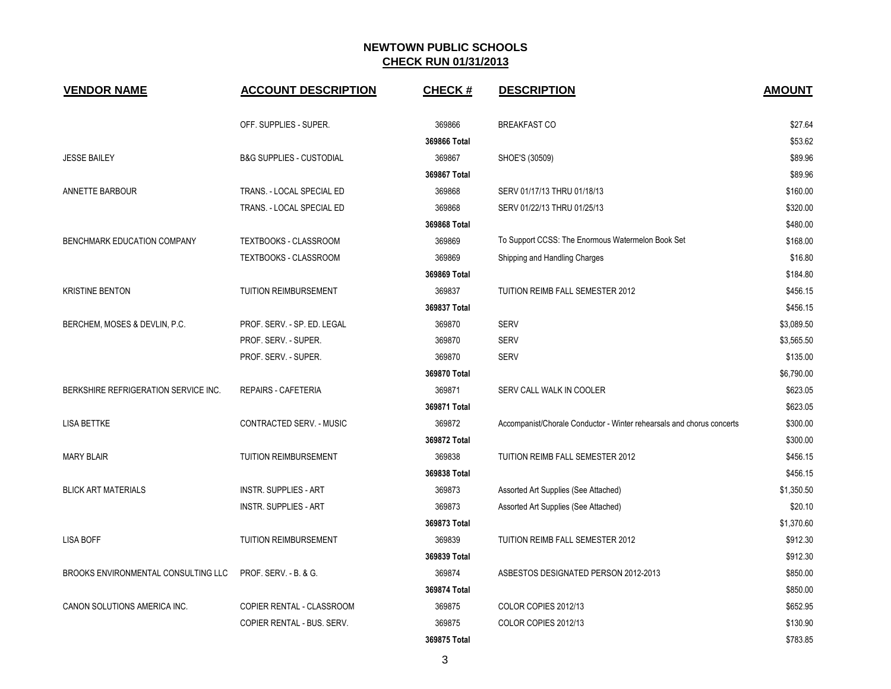| <b>VENDOR NAME</b>                   | <b>ACCOUNT DESCRIPTION</b>          | <b>CHECK#</b> | <b>DESCRIPTION</b>                                                    | <b>AMOUNT</b> |
|--------------------------------------|-------------------------------------|---------------|-----------------------------------------------------------------------|---------------|
|                                      | OFF. SUPPLIES - SUPER.              | 369866        | <b>BREAKFAST CO</b>                                                   | \$27.64       |
|                                      |                                     | 369866 Total  |                                                                       | \$53.62       |
| <b>JESSE BAILEY</b>                  | <b>B&amp;G SUPPLIES - CUSTODIAL</b> | 369867        | SHOE'S (30509)                                                        | \$89.96       |
|                                      |                                     | 369867 Total  |                                                                       | \$89.96       |
| <b>ANNETTE BARBOUR</b>               | TRANS. - LOCAL SPECIAL ED           | 369868        | SERV 01/17/13 THRU 01/18/13                                           | \$160.00      |
|                                      | TRANS. - LOCAL SPECIAL ED           | 369868        | SERV 01/22/13 THRU 01/25/13                                           | \$320.00      |
|                                      |                                     | 369868 Total  |                                                                       | \$480.00      |
| BENCHMARK EDUCATION COMPANY          | TEXTBOOKS - CLASSROOM               | 369869        | To Support CCSS: The Enormous Watermelon Book Set                     | \$168.00      |
|                                      | TEXTBOOKS - CLASSROOM               | 369869        | Shipping and Handling Charges                                         | \$16.80       |
|                                      |                                     | 369869 Total  |                                                                       | \$184.80      |
| <b>KRISTINE BENTON</b>               | <b>TUITION REIMBURSEMENT</b>        | 369837        | TUITION REIMB FALL SEMESTER 2012                                      | \$456.15      |
|                                      |                                     | 369837 Total  |                                                                       | \$456.15      |
| BERCHEM, MOSES & DEVLIN, P.C.        | PROF. SERV. - SP. ED. LEGAL         | 369870        | <b>SERV</b>                                                           | \$3,089.50    |
|                                      | PROF. SERV. - SUPER.                | 369870        | <b>SERV</b>                                                           | \$3,565.50    |
|                                      | PROF. SERV. - SUPER.                | 369870        | <b>SERV</b>                                                           | \$135.00      |
|                                      |                                     | 369870 Total  |                                                                       | \$6,790.00    |
| BERKSHIRE REFRIGERATION SERVICE INC. | <b>REPAIRS - CAFETERIA</b>          | 369871        | SERV CALL WALK IN COOLER                                              | \$623.05      |
|                                      |                                     | 369871 Total  |                                                                       | \$623.05      |
| <b>LISA BETTKE</b>                   | CONTRACTED SERV. - MUSIC            | 369872        | Accompanist/Chorale Conductor - Winter rehearsals and chorus concerts | \$300.00      |
|                                      |                                     | 369872 Total  |                                                                       | \$300.00      |
| <b>MARY BLAIR</b>                    | <b>TUITION REIMBURSEMENT</b>        | 369838        | TUITION REIMB FALL SEMESTER 2012                                      | \$456.15      |
|                                      |                                     | 369838 Total  |                                                                       | \$456.15      |
| <b>BLICK ART MATERIALS</b>           | <b>INSTR. SUPPLIES - ART</b>        | 369873        | Assorted Art Supplies (See Attached)                                  | \$1,350.50    |
|                                      | <b>INSTR. SUPPLIES - ART</b>        | 369873        | Assorted Art Supplies (See Attached)                                  | \$20.10       |
|                                      |                                     | 369873 Total  |                                                                       | \$1,370.60    |
| <b>LISA BOFF</b>                     | <b>TUITION REIMBURSEMENT</b>        | 369839        | TUITION REIMB FALL SEMESTER 2012                                      | \$912.30      |
|                                      |                                     | 369839 Total  |                                                                       | \$912.30      |
| BROOKS ENVIRONMENTAL CONSULTING LLC  | PROF. SERV. - B. & G.               | 369874        | ASBESTOS DESIGNATED PERSON 2012-2013                                  | \$850.00      |
|                                      |                                     | 369874 Total  |                                                                       | \$850.00      |
| CANON SOLUTIONS AMERICA INC.         | COPIER RENTAL - CLASSROOM           | 369875        | COLOR COPIES 2012/13                                                  | \$652.95      |
|                                      | COPIER RENTAL - BUS. SERV.          | 369875        | COLOR COPIES 2012/13                                                  | \$130.90      |
|                                      |                                     | 369875 Total  |                                                                       | \$783.85      |

3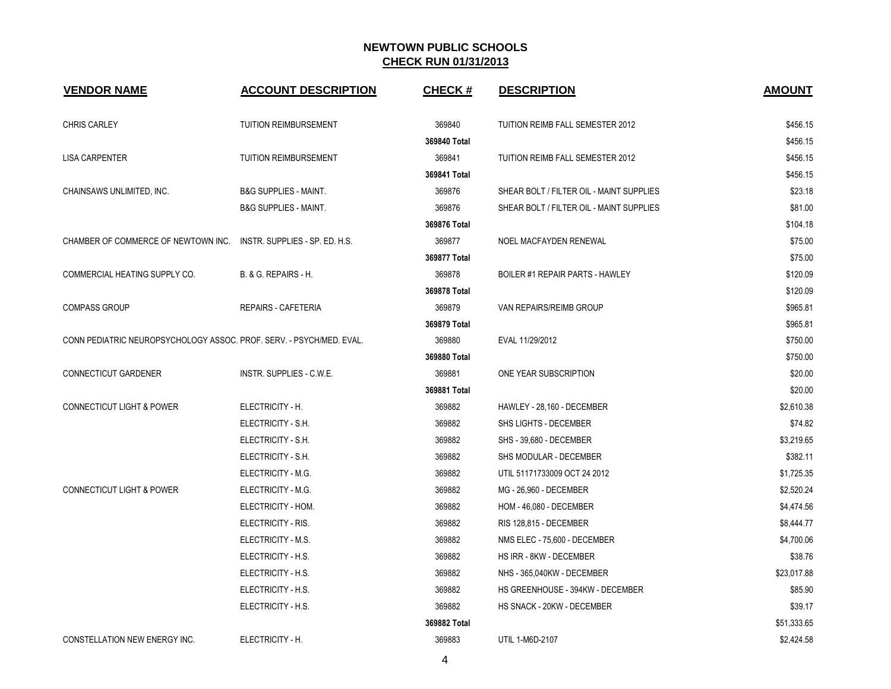| <b>VENDOR NAME</b>                                                   | <b>ACCOUNT DESCRIPTION</b>       | <b>CHECK#</b> | <b>DESCRIPTION</b>                       | <b>AMOUNT</b> |
|----------------------------------------------------------------------|----------------------------------|---------------|------------------------------------------|---------------|
| <b>CHRIS CARLEY</b>                                                  | TUITION REIMBURSEMENT            | 369840        | TUITION REIMB FALL SEMESTER 2012         | \$456.15      |
|                                                                      |                                  | 369840 Total  |                                          | \$456.15      |
| <b>LISA CARPENTER</b>                                                | <b>TUITION REIMBURSEMENT</b>     | 369841        | TUITION REIMB FALL SEMESTER 2012         | \$456.15      |
|                                                                      |                                  | 369841 Total  |                                          | \$456.15      |
| CHAINSAWS UNLIMITED, INC.                                            | <b>B&amp;G SUPPLIES - MAINT.</b> | 369876        | SHEAR BOLT / FILTER OIL - MAINT SUPPLIES | \$23.18       |
|                                                                      | <b>B&amp;G SUPPLIES - MAINT.</b> | 369876        | SHEAR BOLT / FILTER OIL - MAINT SUPPLIES | \$81.00       |
|                                                                      |                                  | 369876 Total  |                                          | \$104.18      |
| CHAMBER OF COMMERCE OF NEWTOWN INC.                                  | INSTR. SUPPLIES - SP. ED. H.S.   | 369877        | NOEL MACFAYDEN RENEWAL                   | \$75.00       |
|                                                                      |                                  | 369877 Total  |                                          | \$75.00       |
| COMMERCIAL HEATING SUPPLY CO.                                        | B. & G. REPAIRS - H.             | 369878        | <b>BOILER #1 REPAIR PARTS - HAWLEY</b>   | \$120.09      |
|                                                                      |                                  | 369878 Total  |                                          | \$120.09      |
| <b>COMPASS GROUP</b>                                                 | REPAIRS - CAFETERIA              | 369879        | VAN REPAIRS/REIMB GROUP                  | \$965.81      |
|                                                                      |                                  | 369879 Total  |                                          | \$965.81      |
| CONN PEDIATRIC NEUROPSYCHOLOGY ASSOC. PROF. SERV. - PSYCH/MED. EVAL. |                                  | 369880        | EVAL 11/29/2012                          | \$750.00      |
|                                                                      |                                  | 369880 Total  |                                          | \$750.00      |
| CONNECTICUT GARDENER                                                 | INSTR. SUPPLIES - C.W.E.         | 369881        | ONE YEAR SUBSCRIPTION                    | \$20.00       |
|                                                                      |                                  | 369881 Total  |                                          | \$20.00       |
| <b>CONNECTICUT LIGHT &amp; POWER</b>                                 | ELECTRICITY - H.                 | 369882        | HAWLEY - 28,160 - DECEMBER               | \$2,610.38    |
|                                                                      | ELECTRICITY - S.H.               | 369882        | SHS LIGHTS - DECEMBER                    | \$74.82       |
|                                                                      | ELECTRICITY - S.H.               | 369882        | SHS - 39,680 - DECEMBER                  | \$3,219.65    |
|                                                                      | ELECTRICITY - S.H.               | 369882        | SHS MODULAR - DECEMBER                   | \$382.11      |
|                                                                      | ELECTRICITY - M.G.               | 369882        | UTIL 51171733009 OCT 24 2012             | \$1,725.35    |
| <b>CONNECTICUT LIGHT &amp; POWER</b>                                 | ELECTRICITY - M.G.               | 369882        | MG - 26,960 - DECEMBER                   | \$2,520.24    |
|                                                                      | ELECTRICITY - HOM.               | 369882        | HOM - 46,080 - DECEMBER                  | \$4,474.56    |
|                                                                      | ELECTRICITY - RIS.               | 369882        | RIS 128,815 - DECEMBER                   | \$8,444.77    |
|                                                                      | ELECTRICITY - M.S.               | 369882        | NMS ELEC - 75,600 - DECEMBER             | \$4,700.06    |
|                                                                      | ELECTRICITY - H.S.               | 369882        | HS IRR - 8KW - DECEMBER                  | \$38.76       |
|                                                                      | ELECTRICITY - H.S.               | 369882        | NHS - 365,040KW - DECEMBER               | \$23,017.88   |
|                                                                      | ELECTRICITY - H.S.               | 369882        | HS GREENHOUSE - 394KW - DECEMBER         | \$85.90       |
|                                                                      | ELECTRICITY - H.S.               | 369882        | HS SNACK - 20KW - DECEMBER               | \$39.17       |
|                                                                      |                                  | 369882 Total  |                                          | \$51,333.65   |
| CONSTELLATION NEW ENERGY INC.                                        | ELECTRICITY - H.                 | 369883        | UTIL 1-M6D-2107                          | \$2,424.58    |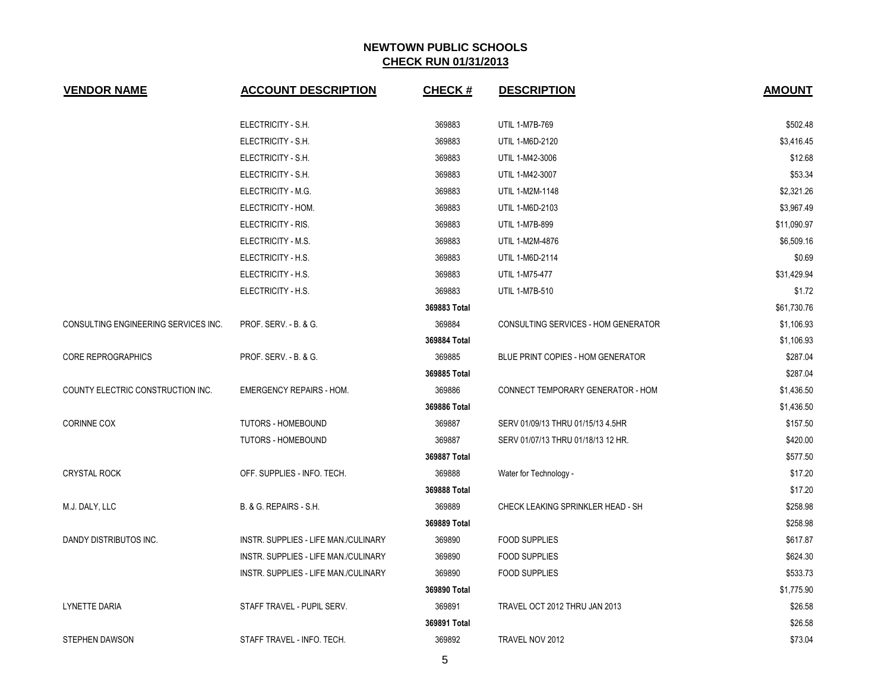| <b>VENDOR NAME</b>                   | <b>ACCOUNT DESCRIPTION</b>           | <b>CHECK#</b> | <b>DESCRIPTION</b>                  | <b>AMOUNT</b> |
|--------------------------------------|--------------------------------------|---------------|-------------------------------------|---------------|
|                                      | ELECTRICITY - S.H.                   | 369883        | UTIL 1-M7B-769                      | \$502.48      |
|                                      | ELECTRICITY - S.H.                   | 369883        | UTIL 1-M6D-2120                     | \$3,416.45    |
|                                      | ELECTRICITY - S.H.                   | 369883        | UTIL 1-M42-3006                     | \$12.68       |
|                                      | ELECTRICITY - S.H.                   | 369883        | UTIL 1-M42-3007                     | \$53.34       |
|                                      | ELECTRICITY - M.G.                   | 369883        | UTIL 1-M2M-1148                     | \$2,321.26    |
|                                      | ELECTRICITY - HOM.                   | 369883        | UTIL 1-M6D-2103                     | \$3,967.49    |
|                                      | ELECTRICITY - RIS.                   | 369883        | <b>UTIL 1-M7B-899</b>               | \$11,090.97   |
|                                      | ELECTRICITY - M.S.                   | 369883        | UTIL 1-M2M-4876                     | \$6,509.16    |
|                                      | ELECTRICITY - H.S.                   | 369883        | UTIL 1-M6D-2114                     | \$0.69        |
|                                      | ELECTRICITY - H.S.                   | 369883        | UTIL 1-M75-477                      | \$31,429.94   |
|                                      | ELECTRICITY - H.S.                   | 369883        | <b>UTIL 1-M7B-510</b>               | \$1.72        |
|                                      |                                      | 369883 Total  |                                     | \$61,730.76   |
| CONSULTING ENGINEERING SERVICES INC. | PROF. SERV. - B. & G.                | 369884        | CONSULTING SERVICES - HOM GENERATOR | \$1,106.93    |
|                                      |                                      | 369884 Total  |                                     | \$1,106.93    |
| <b>CORE REPROGRAPHICS</b>            | PROF. SERV. - B. & G.                | 369885        | BLUE PRINT COPIES - HOM GENERATOR   | \$287.04      |
|                                      |                                      | 369885 Total  |                                     | \$287.04      |
| COUNTY ELECTRIC CONSTRUCTION INC.    | <b>EMERGENCY REPAIRS - HOM.</b>      | 369886        | CONNECT TEMPORARY GENERATOR - HOM   | \$1,436.50    |
|                                      |                                      | 369886 Total  |                                     | \$1,436.50    |
| <b>CORINNE COX</b>                   | TUTORS - HOMEBOUND                   | 369887        | SERV 01/09/13 THRU 01/15/13 4.5HR   | \$157.50      |
|                                      | <b>TUTORS - HOMEBOUND</b>            | 369887        | SERV 01/07/13 THRU 01/18/13 12 HR.  | \$420.00      |
|                                      |                                      | 369887 Total  |                                     | \$577.50      |
| <b>CRYSTAL ROCK</b>                  | OFF. SUPPLIES - INFO. TECH.          | 369888        | Water for Technology -              | \$17.20       |
|                                      |                                      | 369888 Total  |                                     | \$17.20       |
| M.J. DALY, LLC                       | B. & G. REPAIRS - S.H.               | 369889        | CHECK LEAKING SPRINKLER HEAD - SH   | \$258.98      |
|                                      |                                      | 369889 Total  |                                     | \$258.98      |
| DANDY DISTRIBUTOS INC.               | INSTR. SUPPLIES - LIFE MAN./CULINARY | 369890        | <b>FOOD SUPPLIES</b>                | \$617.87      |
|                                      | INSTR. SUPPLIES - LIFE MAN./CULINARY | 369890        | <b>FOOD SUPPLIES</b>                | \$624.30      |
|                                      | INSTR. SUPPLIES - LIFE MAN./CULINARY | 369890        | <b>FOOD SUPPLIES</b>                | \$533.73      |
|                                      |                                      | 369890 Total  |                                     | \$1,775.90    |
| <b>LYNETTE DARIA</b>                 | STAFF TRAVEL - PUPIL SERV.           | 369891        | TRAVEL OCT 2012 THRU JAN 2013       | \$26.58       |
|                                      |                                      | 369891 Total  |                                     | \$26.58       |
| <b>STEPHEN DAWSON</b>                | STAFF TRAVEL - INFO. TECH.           | 369892        | TRAVEL NOV 2012                     | \$73.04       |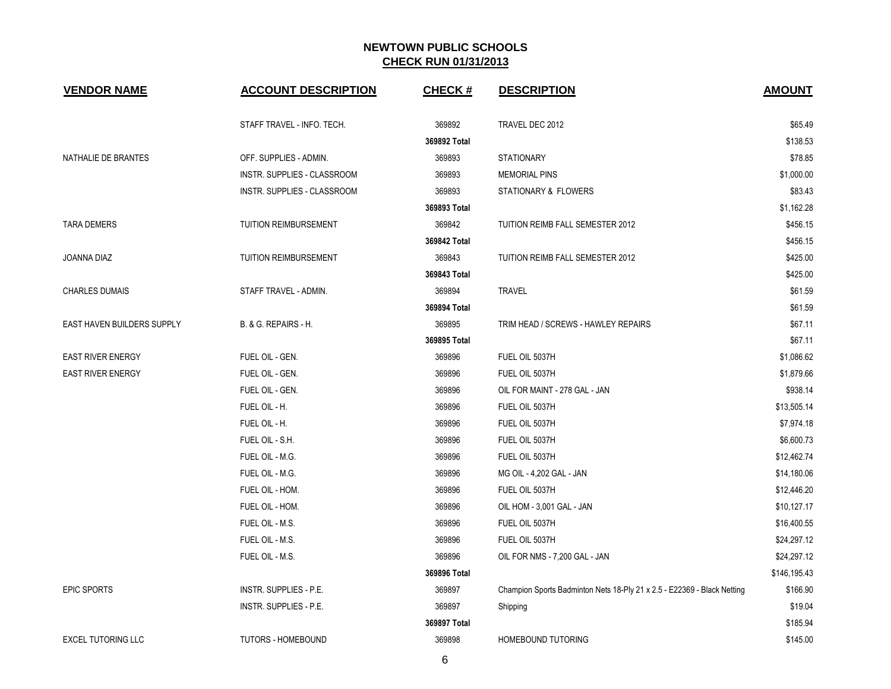| <b>VENDOR NAME</b>         | <b>ACCOUNT DESCRIPTION</b>  | <b>CHECK#</b> | <b>DESCRIPTION</b>                                                      | <b>AMOUNT</b> |
|----------------------------|-----------------------------|---------------|-------------------------------------------------------------------------|---------------|
|                            | STAFF TRAVEL - INFO. TECH.  | 369892        | TRAVEL DEC 2012                                                         | \$65.49       |
|                            |                             | 369892 Total  |                                                                         | \$138.53      |
| NATHALIE DE BRANTES        | OFF. SUPPLIES - ADMIN.      | 369893        | <b>STATIONARY</b>                                                       | \$78.85       |
|                            | INSTR. SUPPLIES - CLASSROOM | 369893        | <b>MEMORIAL PINS</b>                                                    | \$1,000.00    |
|                            | INSTR. SUPPLIES - CLASSROOM | 369893        | STATIONARY & FLOWERS                                                    | \$83.43       |
|                            |                             | 369893 Total  |                                                                         | \$1,162.28    |
| <b>TARA DEMERS</b>         | TUITION REIMBURSEMENT       | 369842        | TUITION REIMB FALL SEMESTER 2012                                        | \$456.15      |
|                            |                             | 369842 Total  |                                                                         | \$456.15      |
| JOANNA DIAZ                | TUITION REIMBURSEMENT       | 369843        | TUITION REIMB FALL SEMESTER 2012                                        | \$425.00      |
|                            |                             | 369843 Total  |                                                                         | \$425.00      |
| <b>CHARLES DUMAIS</b>      | STAFF TRAVEL - ADMIN.       | 369894        | <b>TRAVEL</b>                                                           | \$61.59       |
|                            |                             | 369894 Total  |                                                                         | \$61.59       |
| EAST HAVEN BUILDERS SUPPLY | B. & G. REPAIRS - H.        | 369895        | TRIM HEAD / SCREWS - HAWLEY REPAIRS                                     | \$67.11       |
|                            |                             | 369895 Total  |                                                                         | \$67.11       |
| <b>EAST RIVER ENERGY</b>   | FUEL OIL - GEN.             | 369896        | FUEL OIL 5037H                                                          | \$1,086.62    |
| <b>EAST RIVER ENERGY</b>   | FUEL OIL - GEN.             | 369896        | FUEL OIL 5037H                                                          | \$1,879.66    |
|                            | FUEL OIL - GEN.             | 369896        | OIL FOR MAINT - 278 GAL - JAN                                           | \$938.14      |
|                            | FUEL OIL - H.               | 369896        | FUEL OIL 5037H                                                          | \$13,505.14   |
|                            | FUEL OIL - H.               | 369896        | FUEL OIL 5037H                                                          | \$7,974.18    |
|                            | FUEL OIL - S.H.             | 369896        | FUEL OIL 5037H                                                          | \$6,600.73    |
|                            | FUEL OIL - M.G.             | 369896        | FUEL OIL 5037H                                                          | \$12,462.74   |
|                            | FUEL OIL - M.G.             | 369896        | MG OIL - 4,202 GAL - JAN                                                | \$14,180.06   |
|                            | FUEL OIL - HOM.             | 369896        | FUEL OIL 5037H                                                          | \$12,446.20   |
|                            | FUEL OIL - HOM.             | 369896        | OIL HOM - 3,001 GAL - JAN                                               | \$10,127.17   |
|                            | FUEL OIL - M.S.             | 369896        | FUEL OIL 5037H                                                          | \$16,400.55   |
|                            | FUEL OIL - M.S.             | 369896        | FUEL OIL 5037H                                                          | \$24,297.12   |
|                            | FUEL OIL - M.S.             | 369896        | OIL FOR NMS - 7,200 GAL - JAN                                           | \$24,297.12   |
|                            |                             | 369896 Total  |                                                                         | \$146,195.43  |
| <b>EPIC SPORTS</b>         | INSTR. SUPPLIES - P.E.      | 369897        | Champion Sports Badminton Nets 18-Ply 21 x 2.5 - E22369 - Black Netting | \$166.90      |
|                            | INSTR. SUPPLIES - P.E.      | 369897        | Shipping                                                                | \$19.04       |
|                            |                             | 369897 Total  |                                                                         | \$185.94      |
| <b>EXCEL TUTORING LLC</b>  | <b>TUTORS - HOMEBOUND</b>   | 369898        | <b>HOMEBOUND TUTORING</b>                                               | \$145.00      |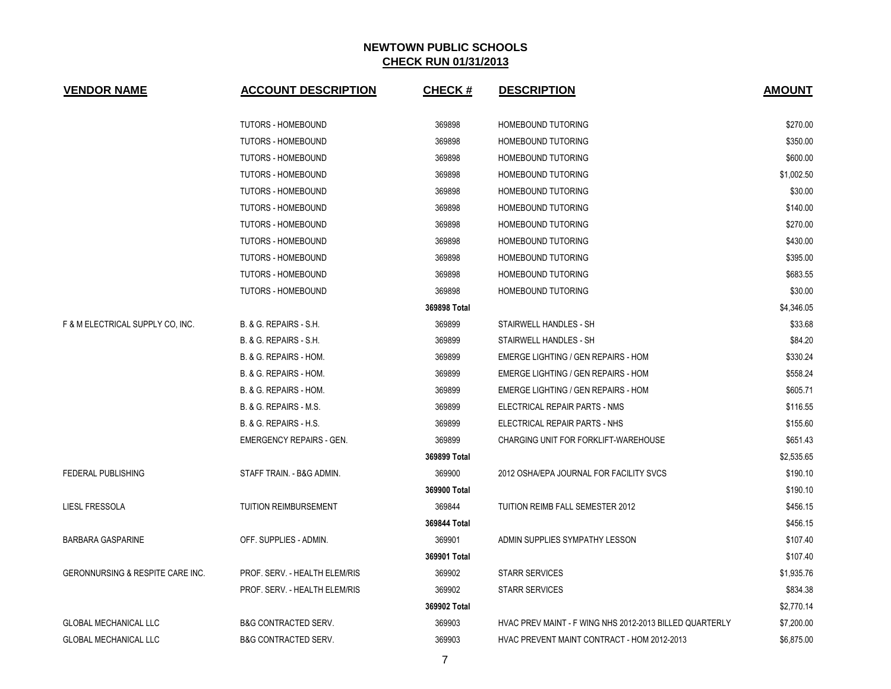| <b>VENDOR NAME</b>               | <b>ACCOUNT DESCRIPTION</b>        | <b>CHECK#</b> | <b>DESCRIPTION</b>                                      | <b>AMOUNT</b> |
|----------------------------------|-----------------------------------|---------------|---------------------------------------------------------|---------------|
|                                  | <b>TUTORS - HOMEBOUND</b>         | 369898        | HOMEBOUND TUTORING                                      | \$270.00      |
|                                  | <b>TUTORS - HOMEBOUND</b>         | 369898        | HOMEBOUND TUTORING                                      | \$350.00      |
|                                  | <b>TUTORS - HOMEBOUND</b>         | 369898        | HOMEBOUND TUTORING                                      | \$600.00      |
|                                  | <b>TUTORS - HOMEBOUND</b>         | 369898        | HOMEBOUND TUTORING                                      | \$1,002.50    |
|                                  | <b>TUTORS - HOMEBOUND</b>         | 369898        | HOMEBOUND TUTORING                                      | \$30.00       |
|                                  | <b>TUTORS - HOMEBOUND</b>         | 369898        | HOMEBOUND TUTORING                                      | \$140.00      |
|                                  | <b>TUTORS - HOMEBOUND</b>         | 369898        | HOMEBOUND TUTORING                                      | \$270.00      |
|                                  | <b>TUTORS - HOMEBOUND</b>         | 369898        | <b>HOMEBOUND TUTORING</b>                               | \$430.00      |
|                                  | <b>TUTORS - HOMEBOUND</b>         | 369898        | HOMEBOUND TUTORING                                      | \$395.00      |
|                                  | <b>TUTORS - HOMEBOUND</b>         | 369898        | <b>HOMEBOUND TUTORING</b>                               | \$683.55      |
|                                  | <b>TUTORS - HOMEBOUND</b>         | 369898        | <b>HOMEBOUND TUTORING</b>                               | \$30.00       |
|                                  |                                   | 369898 Total  |                                                         | \$4,346.05    |
| F & M ELECTRICAL SUPPLY CO. INC. | <b>B. &amp; G. REPAIRS - S.H.</b> | 369899        | STAIRWELL HANDLES - SH                                  | \$33.68       |
|                                  | <b>B. &amp; G. REPAIRS - S.H.</b> | 369899        | STAIRWELL HANDLES - SH                                  | \$84.20       |
|                                  | B. & G. REPAIRS - HOM.            | 369899        | EMERGE LIGHTING / GEN REPAIRS - HOM                     | \$330.24      |
|                                  | B. & G. REPAIRS - HOM.            | 369899        | EMERGE LIGHTING / GEN REPAIRS - HOM                     | \$558.24      |
|                                  | B. & G. REPAIRS - HOM.            | 369899        | EMERGE LIGHTING / GEN REPAIRS - HOM                     | \$605.71      |
|                                  | B. & G. REPAIRS - M.S.            | 369899        | ELECTRICAL REPAIR PARTS - NMS                           | \$116.55      |
|                                  | <b>B. &amp; G. REPAIRS - H.S.</b> | 369899        | ELECTRICAL REPAIR PARTS - NHS                           | \$155.60      |
|                                  | <b>EMERGENCY REPAIRS - GEN.</b>   | 369899        | CHARGING UNIT FOR FORKLIFT-WAREHOUSE                    | \$651.43      |
|                                  |                                   | 369899 Total  |                                                         | \$2,535.65    |
| <b>FEDERAL PUBLISHING</b>        | STAFF TRAIN. - B&G ADMIN.         | 369900        | 2012 OSHA/EPA JOURNAL FOR FACILITY SVCS                 | \$190.10      |
|                                  |                                   | 369900 Total  |                                                         | \$190.10      |
| <b>LIESL FRESSOLA</b>            | <b>TUITION REIMBURSEMENT</b>      | 369844        | TUITION REIMB FALL SEMESTER 2012                        | \$456.15      |
|                                  |                                   | 369844 Total  |                                                         | \$456.15      |
| <b>BARBARA GASPARINE</b>         | OFF. SUPPLIES - ADMIN.            | 369901        | ADMIN SUPPLIES SYMPATHY LESSON                          | \$107.40      |
|                                  |                                   | 369901 Total  |                                                         | \$107.40      |
| GERONNURSING & RESPITE CARE INC. | PROF. SERV. - HEALTH ELEM/RIS     | 369902        | <b>STARR SERVICES</b>                                   | \$1,935.76    |
|                                  | PROF. SERV. - HEALTH ELEM/RIS     | 369902        | <b>STARR SERVICES</b>                                   | \$834.38      |
|                                  |                                   | 369902 Total  |                                                         | \$2,770.14    |
| <b>GLOBAL MECHANICAL LLC</b>     | <b>B&amp;G CONTRACTED SERV.</b>   | 369903        | HVAC PREV MAINT - F WING NHS 2012-2013 BILLED QUARTERLY | \$7,200.00    |
| GLOBAL MECHANICAL LLC            | <b>B&amp;G CONTRACTED SERV.</b>   | 369903        | HVAC PREVENT MAINT CONTRACT - HOM 2012-2013             | \$6,875.00    |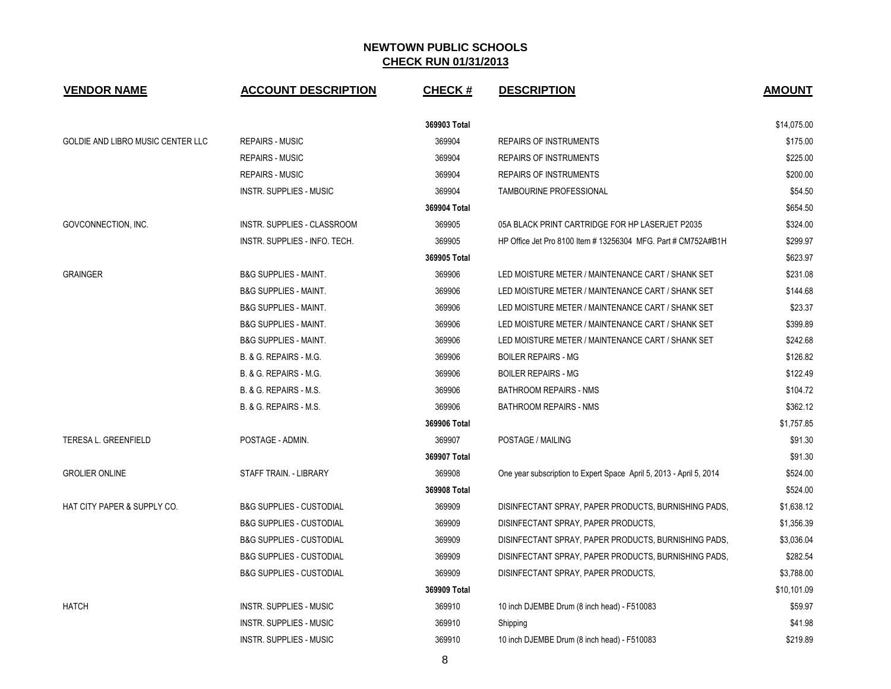| <b>VENDOR NAME</b>                | <b>ACCOUNT DESCRIPTION</b>          | <b>CHECK#</b> | <b>DESCRIPTION</b>                                                  | <b>AMOUNT</b> |
|-----------------------------------|-------------------------------------|---------------|---------------------------------------------------------------------|---------------|
|                                   |                                     | 369903 Total  |                                                                     | \$14,075.00   |
| GOLDIE AND LIBRO MUSIC CENTER LLC | <b>REPAIRS - MUSIC</b>              | 369904        | <b>REPAIRS OF INSTRUMENTS</b>                                       | \$175.00      |
|                                   | <b>REPAIRS - MUSIC</b>              | 369904        | <b>REPAIRS OF INSTRUMENTS</b>                                       | \$225.00      |
|                                   | <b>REPAIRS - MUSIC</b>              | 369904        | <b>REPAIRS OF INSTRUMENTS</b>                                       | \$200.00      |
|                                   | INSTR. SUPPLIES - MUSIC             | 369904        | TAMBOURINE PROFESSIONAL                                             | \$54.50       |
|                                   |                                     | 369904 Total  |                                                                     | \$654.50      |
| GOVCONNECTION, INC.               | INSTR. SUPPLIES - CLASSROOM         | 369905        | 05A BLACK PRINT CARTRIDGE FOR HP LASERJET P2035                     | \$324.00      |
|                                   | INSTR. SUPPLIES - INFO. TECH.       | 369905        | HP Office Jet Pro 8100 Item # 13256304 MFG. Part # CM752A#B1H       | \$299.97      |
|                                   |                                     | 369905 Total  |                                                                     | \$623.97      |
| <b>GRAINGER</b>                   | <b>B&amp;G SUPPLIES - MAINT.</b>    | 369906        | LED MOISTURE METER / MAINTENANCE CART / SHANK SET                   | \$231.08      |
|                                   | <b>B&amp;G SUPPLIES - MAINT.</b>    | 369906        | LED MOISTURE METER / MAINTENANCE CART / SHANK SET                   | \$144.68      |
|                                   | <b>B&amp;G SUPPLIES - MAINT.</b>    | 369906        | LED MOISTURE METER / MAINTENANCE CART / SHANK SET                   | \$23.37       |
|                                   | <b>B&amp;G SUPPLIES - MAINT.</b>    | 369906        | LED MOISTURE METER / MAINTENANCE CART / SHANK SET                   | \$399.89      |
|                                   | <b>B&amp;G SUPPLIES - MAINT.</b>    | 369906        | LED MOISTURE METER / MAINTENANCE CART / SHANK SET                   | \$242.68      |
|                                   | <b>B. &amp; G. REPAIRS - M.G.</b>   | 369906        | <b>BOILER REPAIRS - MG</b>                                          | \$126.82      |
|                                   | B. & G. REPAIRS - M.G.              | 369906        | <b>BOILER REPAIRS - MG</b>                                          | \$122.49      |
|                                   | B. & G. REPAIRS - M.S.              | 369906        | <b>BATHROOM REPAIRS - NMS</b>                                       | \$104.72      |
|                                   | B. & G. REPAIRS - M.S.              | 369906        | <b>BATHROOM REPAIRS - NMS</b>                                       | \$362.12      |
|                                   |                                     | 369906 Total  |                                                                     | \$1,757.85    |
| <b>TERESA L. GREENFIELD</b>       | POSTAGE - ADMIN.                    | 369907        | POSTAGE / MAILING                                                   | \$91.30       |
|                                   |                                     | 369907 Total  |                                                                     | \$91.30       |
| <b>GROLIER ONLINE</b>             | STAFF TRAIN. - LIBRARY              | 369908        | One year subscription to Expert Space April 5, 2013 - April 5, 2014 | \$524.00      |
|                                   |                                     | 369908 Total  |                                                                     | \$524.00      |
| HAT CITY PAPER & SUPPLY CO.       | <b>B&amp;G SUPPLIES - CUSTODIAL</b> | 369909        | DISINFECTANT SPRAY, PAPER PRODUCTS, BURNISHING PADS,                | \$1,638.12    |
|                                   | <b>B&amp;G SUPPLIES - CUSTODIAL</b> | 369909        | DISINFECTANT SPRAY, PAPER PRODUCTS,                                 | \$1,356.39    |
|                                   | <b>B&amp;G SUPPLIES - CUSTODIAL</b> | 369909        | DISINFECTANT SPRAY, PAPER PRODUCTS, BURNISHING PADS,                | \$3,036.04    |
|                                   | <b>B&amp;G SUPPLIES - CUSTODIAL</b> | 369909        | DISINFECTANT SPRAY, PAPER PRODUCTS, BURNISHING PADS,                | \$282.54      |
|                                   | <b>B&amp;G SUPPLIES - CUSTODIAL</b> | 369909        | DISINFECTANT SPRAY, PAPER PRODUCTS,                                 | \$3,788.00    |
|                                   |                                     | 369909 Total  |                                                                     | \$10,101.09   |
| <b>HATCH</b>                      | INSTR. SUPPLIES - MUSIC             | 369910        | 10 inch DJEMBE Drum (8 inch head) - F510083                         | \$59.97       |
|                                   | INSTR. SUPPLIES - MUSIC             | 369910        | Shipping                                                            | \$41.98       |
|                                   | <b>INSTR. SUPPLIES - MUSIC</b>      | 369910        | 10 inch DJEMBE Drum (8 inch head) - F510083                         | \$219.89      |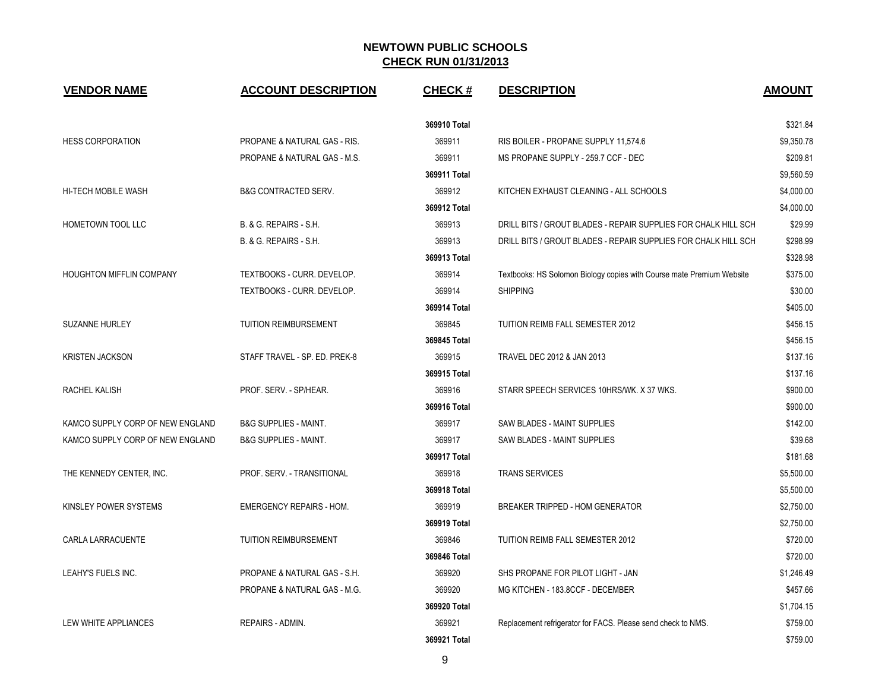| <b>VENDOR NAME</b>               | <b>ACCOUNT DESCRIPTION</b>              | <b>CHECK#</b> | <b>DESCRIPTION</b>                                                    | <b>AMOUNT</b> |
|----------------------------------|-----------------------------------------|---------------|-----------------------------------------------------------------------|---------------|
|                                  |                                         | 369910 Total  |                                                                       | \$321.84      |
| <b>HESS CORPORATION</b>          | <b>PROPANE &amp; NATURAL GAS - RIS.</b> | 369911        | RIS BOILER - PROPANE SUPPLY 11,574.6                                  | \$9,350.78    |
|                                  | PROPANE & NATURAL GAS - M.S.            | 369911        | MS PROPANE SUPPLY - 259.7 CCF - DEC                                   | \$209.81      |
|                                  |                                         | 369911 Total  |                                                                       | \$9,560.59    |
| <b>HI-TECH MOBILE WASH</b>       | <b>B&amp;G CONTRACTED SERV.</b>         | 369912        | KITCHEN EXHAUST CLEANING - ALL SCHOOLS                                | \$4,000.00    |
|                                  |                                         | 369912 Total  |                                                                       | \$4,000.00    |
| HOMETOWN TOOL LLC                | B. & G. REPAIRS - S.H.                  | 369913        | DRILL BITS / GROUT BLADES - REPAIR SUPPLIES FOR CHALK HILL SCH        | \$29.99       |
|                                  | B. & G. REPAIRS - S.H.                  | 369913        | DRILL BITS / GROUT BLADES - REPAIR SUPPLIES FOR CHALK HILL SCH        | \$298.99      |
|                                  |                                         | 369913 Total  |                                                                       | \$328.98      |
| HOUGHTON MIFFLIN COMPANY         | TEXTBOOKS - CURR. DEVELOP.              | 369914        | Textbooks: HS Solomon Biology copies with Course mate Premium Website | \$375.00      |
|                                  | TEXTBOOKS - CURR. DEVELOP.              | 369914        | <b>SHIPPING</b>                                                       | \$30.00       |
|                                  |                                         | 369914 Total  |                                                                       | \$405.00      |
| <b>SUZANNE HURLEY</b>            | TUITION REIMBURSEMENT                   | 369845        | TUITION REIMB FALL SEMESTER 2012                                      | \$456.15      |
|                                  |                                         | 369845 Total  |                                                                       | \$456.15      |
| <b>KRISTEN JACKSON</b>           | STAFF TRAVEL - SP. ED. PREK-8           | 369915        | TRAVEL DEC 2012 & JAN 2013                                            | \$137.16      |
|                                  |                                         | 369915 Total  |                                                                       | \$137.16      |
| RACHEL KALISH                    | PROF. SERV. - SP/HEAR.                  | 369916        | STARR SPEECH SERVICES 10HRS/WK. X 37 WKS.                             | \$900.00      |
|                                  |                                         | 369916 Total  |                                                                       | \$900.00      |
| KAMCO SUPPLY CORP OF NEW ENGLAND | <b>B&amp;G SUPPLIES - MAINT.</b>        | 369917        | SAW BLADES - MAINT SUPPLIES                                           | \$142.00      |
| KAMCO SUPPLY CORP OF NEW ENGLAND | <b>B&amp;G SUPPLIES - MAINT.</b>        | 369917        | SAW BLADES - MAINT SUPPLIES                                           | \$39.68       |
|                                  |                                         | 369917 Total  |                                                                       | \$181.68      |
| THE KENNEDY CENTER, INC.         | PROF. SERV. - TRANSITIONAL              | 369918        | <b>TRANS SERVICES</b>                                                 | \$5,500.00    |
|                                  |                                         | 369918 Total  |                                                                       | \$5,500.00    |
| KINSLEY POWER SYSTEMS            | <b>EMERGENCY REPAIRS - HOM.</b>         | 369919        | <b>BREAKER TRIPPED - HOM GENERATOR</b>                                | \$2,750.00    |
|                                  |                                         | 369919 Total  |                                                                       | \$2,750.00    |
| CARLA LARRACUENTE                | <b>TUITION REIMBURSEMENT</b>            | 369846        | TUITION REIMB FALL SEMESTER 2012                                      | \$720.00      |
|                                  |                                         | 369846 Total  |                                                                       | \$720.00      |
| LEAHY'S FUELS INC.               | PROPANE & NATURAL GAS - S.H.            | 369920        | SHS PROPANE FOR PILOT LIGHT - JAN                                     | \$1,246.49    |
|                                  | PROPANE & NATURAL GAS - M.G.            | 369920        | MG KITCHEN - 183.8CCF - DECEMBER                                      | \$457.66      |
|                                  |                                         | 369920 Total  |                                                                       | \$1,704.15    |
| LEW WHITE APPLIANCES             | <b>REPAIRS - ADMIN.</b>                 | 369921        | Replacement refrigerator for FACS. Please send check to NMS.          | \$759.00      |
|                                  |                                         | 369921 Total  |                                                                       | \$759.00      |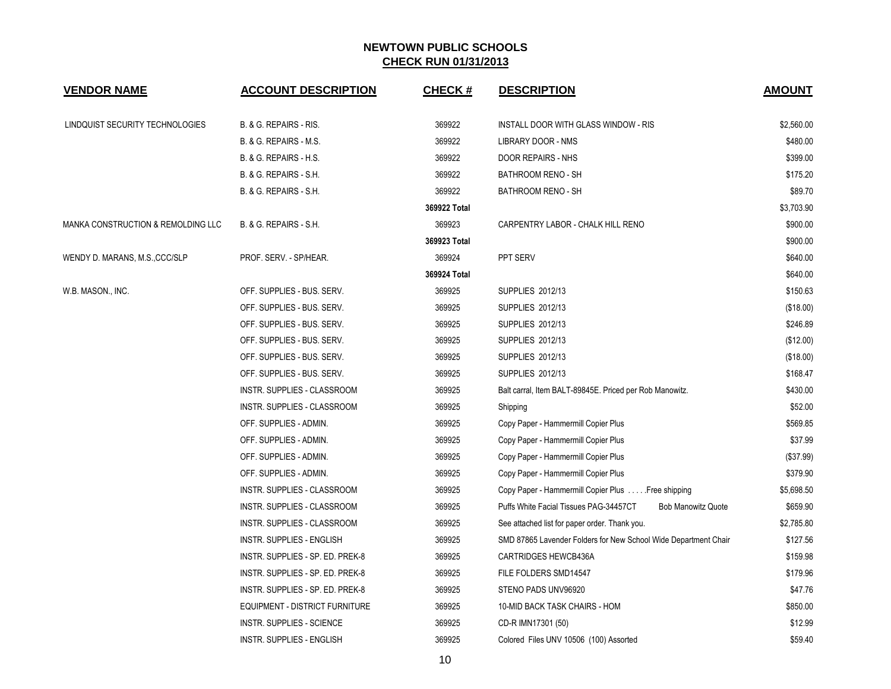| <b>VENDOR NAME</b>                 | <b>ACCOUNT DESCRIPTION</b>        | <b>CHECK#</b> | <b>DESCRIPTION</b>                                                  | <b>AMOUNT</b> |
|------------------------------------|-----------------------------------|---------------|---------------------------------------------------------------------|---------------|
| LINDQUIST SECURITY TECHNOLOGIES    | B. & G. REPAIRS - RIS.            | 369922        | INSTALL DOOR WITH GLASS WINDOW - RIS                                | \$2,560.00    |
|                                    | <b>B. &amp; G. REPAIRS - M.S.</b> | 369922        | LIBRARY DOOR - NMS                                                  | \$480.00      |
|                                    | B. & G. REPAIRS - H.S.            | 369922        | DOOR REPAIRS - NHS                                                  | \$399.00      |
|                                    | B. & G. REPAIRS - S.H.            | 369922        | BATHROOM RENO - SH                                                  | \$175.20      |
|                                    | B. & G. REPAIRS - S.H.            | 369922        | BATHROOM RENO - SH                                                  | \$89.70       |
|                                    |                                   | 369922 Total  |                                                                     | \$3,703.90    |
| MANKA CONSTRUCTION & REMOLDING LLC | B. & G. REPAIRS - S.H.            | 369923        | CARPENTRY LABOR - CHALK HILL RENO                                   | \$900.00      |
|                                    |                                   | 369923 Total  |                                                                     | \$900.00      |
| WENDY D. MARANS, M.S., CCC/SLP     | PROF. SERV. - SP/HEAR.            | 369924        | PPT SERV                                                            | \$640.00      |
|                                    |                                   | 369924 Total  |                                                                     | \$640.00      |
| W.B. MASON., INC.                  | OFF. SUPPLIES - BUS. SERV.        | 369925        | SUPPLIES 2012/13                                                    | \$150.63      |
|                                    | OFF. SUPPLIES - BUS. SERV.        | 369925        | <b>SUPPLIES 2012/13</b>                                             | (\$18.00)     |
|                                    | OFF. SUPPLIES - BUS. SERV.        | 369925        | SUPPLIES 2012/13                                                    | \$246.89      |
|                                    | OFF. SUPPLIES - BUS. SERV.        | 369925        | SUPPLIES 2012/13                                                    | (\$12.00)     |
|                                    | OFF. SUPPLIES - BUS. SERV.        | 369925        | SUPPLIES 2012/13                                                    | (\$18.00)     |
|                                    | OFF. SUPPLIES - BUS. SERV.        | 369925        | SUPPLIES 2012/13                                                    | \$168.47      |
|                                    | INSTR. SUPPLIES - CLASSROOM       | 369925        | Balt carral, Item BALT-89845E. Priced per Rob Manowitz.             | \$430.00      |
|                                    | INSTR. SUPPLIES - CLASSROOM       | 369925        | Shipping                                                            | \$52.00       |
|                                    | OFF. SUPPLIES - ADMIN.            | 369925        | Copy Paper - Hammermill Copier Plus                                 | \$569.85      |
|                                    | OFF. SUPPLIES - ADMIN.            | 369925        | Copy Paper - Hammermill Copier Plus                                 | \$37.99       |
|                                    | OFF. SUPPLIES - ADMIN.            | 369925        | Copy Paper - Hammermill Copier Plus                                 | (\$37.99)     |
|                                    | OFF. SUPPLIES - ADMIN.            | 369925        | Copy Paper - Hammermill Copier Plus                                 | \$379.90      |
|                                    | INSTR. SUPPLIES - CLASSROOM       | 369925        | Copy Paper - Hammermill Copier Plus  Free shipping                  | \$5,698.50    |
|                                    | INSTR. SUPPLIES - CLASSROOM       | 369925        | Puffs White Facial Tissues PAG-34457CT<br><b>Bob Manowitz Quote</b> | \$659.90      |
|                                    | INSTR. SUPPLIES - CLASSROOM       | 369925        | See attached list for paper order. Thank you.                       | \$2,785.80    |
|                                    | <b>INSTR. SUPPLIES - ENGLISH</b>  | 369925        | SMD 87865 Lavender Folders for New School Wide Department Chair     | \$127.56      |
|                                    | INSTR. SUPPLIES - SP. ED. PREK-8  | 369925        | <b>CARTRIDGES HEWCB436A</b>                                         | \$159.98      |
|                                    | INSTR. SUPPLIES - SP. ED. PREK-8  | 369925        | FILE FOLDERS SMD14547                                               | \$179.96      |
|                                    | INSTR. SUPPLIES - SP. ED. PREK-8  | 369925        | STENO PADS UNV96920                                                 | \$47.76       |
|                                    | EQUIPMENT - DISTRICT FURNITURE    | 369925        | 10-MID BACK TASK CHAIRS - HOM                                       | \$850.00      |
|                                    | <b>INSTR. SUPPLIES - SCIENCE</b>  | 369925        | CD-R IMN17301 (50)                                                  | \$12.99       |
|                                    | <b>INSTR. SUPPLIES - ENGLISH</b>  | 369925        | Colored Files UNV 10506 (100) Assorted                              | \$59.40       |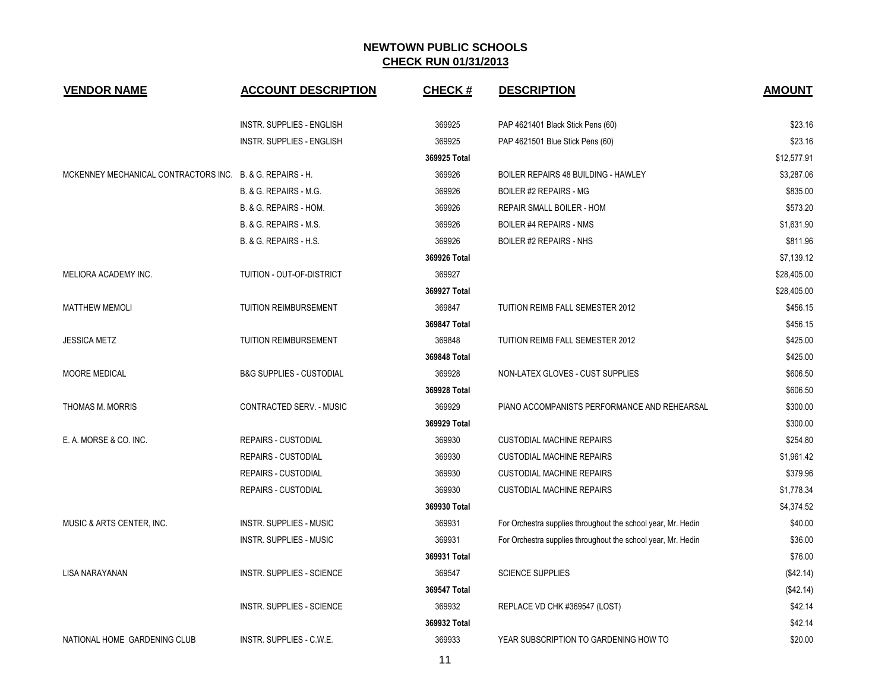| <b>VENDOR NAME</b>                                        | <b>ACCOUNT DESCRIPTION</b>          | <b>CHECK#</b> | <b>DESCRIPTION</b>                                           | <b>AMOUNT</b> |
|-----------------------------------------------------------|-------------------------------------|---------------|--------------------------------------------------------------|---------------|
|                                                           | INSTR. SUPPLIES - ENGLISH           | 369925        | PAP 4621401 Black Stick Pens (60)                            | \$23.16       |
|                                                           | <b>INSTR. SUPPLIES - ENGLISH</b>    | 369925        | PAP 4621501 Blue Stick Pens (60)                             | \$23.16       |
|                                                           |                                     | 369925 Total  |                                                              | \$12,577.91   |
| MCKENNEY MECHANICAL CONTRACTORS INC. B. & G. REPAIRS - H. |                                     | 369926        | BOILER REPAIRS 48 BUILDING - HAWLEY                          | \$3,287.06    |
|                                                           | B. & G. REPAIRS - M.G.              | 369926        | <b>BOILER #2 REPAIRS - MG</b>                                | \$835.00      |
|                                                           | B. & G. REPAIRS - HOM.              | 369926        | REPAIR SMALL BOILER - HOM                                    | \$573.20      |
|                                                           | B. & G. REPAIRS - M.S.              | 369926        | <b>BOILER #4 REPAIRS - NMS</b>                               | \$1,631.90    |
|                                                           | B. & G. REPAIRS - H.S.              | 369926        | <b>BOILER #2 REPAIRS - NHS</b>                               | \$811.96      |
|                                                           |                                     | 369926 Total  |                                                              | \$7,139.12    |
| <b>MELIORA ACADEMY INC.</b>                               | TUITION - OUT-OF-DISTRICT           | 369927        |                                                              | \$28,405.00   |
|                                                           |                                     | 369927 Total  |                                                              | \$28,405.00   |
| <b>MATTHEW MEMOLI</b>                                     | <b>TUITION REIMBURSEMENT</b>        | 369847        | TUITION REIMB FALL SEMESTER 2012                             | \$456.15      |
|                                                           |                                     | 369847 Total  |                                                              | \$456.15      |
| <b>JESSICA METZ</b>                                       | <b>TUITION REIMBURSEMENT</b>        | 369848        | TUITION REIMB FALL SEMESTER 2012                             | \$425.00      |
|                                                           |                                     | 369848 Total  |                                                              | \$425.00      |
| <b>MOORE MEDICAL</b>                                      | <b>B&amp;G SUPPLIES - CUSTODIAL</b> | 369928        | NON-LATEX GLOVES - CUST SUPPLIES                             | \$606.50      |
|                                                           |                                     | 369928 Total  |                                                              | \$606.50      |
| THOMAS M. MORRIS                                          | CONTRACTED SERV. - MUSIC            | 369929        | PIANO ACCOMPANISTS PERFORMANCE AND REHEARSAL                 | \$300.00      |
|                                                           |                                     | 369929 Total  |                                                              | \$300.00      |
| E. A. MORSE & CO. INC.                                    | <b>REPAIRS - CUSTODIAL</b>          | 369930        | <b>CUSTODIAL MACHINE REPAIRS</b>                             | \$254.80      |
|                                                           | <b>REPAIRS - CUSTODIAL</b>          | 369930        | <b>CUSTODIAL MACHINE REPAIRS</b>                             | \$1,961.42    |
|                                                           | <b>REPAIRS - CUSTODIAL</b>          | 369930        | <b>CUSTODIAL MACHINE REPAIRS</b>                             | \$379.96      |
|                                                           | <b>REPAIRS - CUSTODIAL</b>          | 369930        | <b>CUSTODIAL MACHINE REPAIRS</b>                             | \$1,778.34    |
|                                                           |                                     | 369930 Total  |                                                              | \$4,374.52    |
| MUSIC & ARTS CENTER, INC.                                 | <b>INSTR. SUPPLIES - MUSIC</b>      | 369931        | For Orchestra supplies throughout the school year, Mr. Hedin | \$40.00       |
|                                                           | INSTR. SUPPLIES - MUSIC             | 369931        | For Orchestra supplies throughout the school year, Mr. Hedin | \$36.00       |
|                                                           |                                     | 369931 Total  |                                                              | \$76.00       |
| LISA NARAYANAN                                            | <b>INSTR. SUPPLIES - SCIENCE</b>    | 369547        | <b>SCIENCE SUPPLIES</b>                                      | (\$42.14)     |
|                                                           |                                     | 369547 Total  |                                                              | (\$42.14)     |
|                                                           | <b>INSTR. SUPPLIES - SCIENCE</b>    | 369932        | REPLACE VD CHK #369547 (LOST)                                | \$42.14       |
|                                                           |                                     | 369932 Total  |                                                              | \$42.14       |
| NATIONAL HOME GARDENING CLUB                              | INSTR. SUPPLIES - C.W.E.            | 369933        | YEAR SUBSCRIPTION TO GARDENING HOW TO                        | \$20.00       |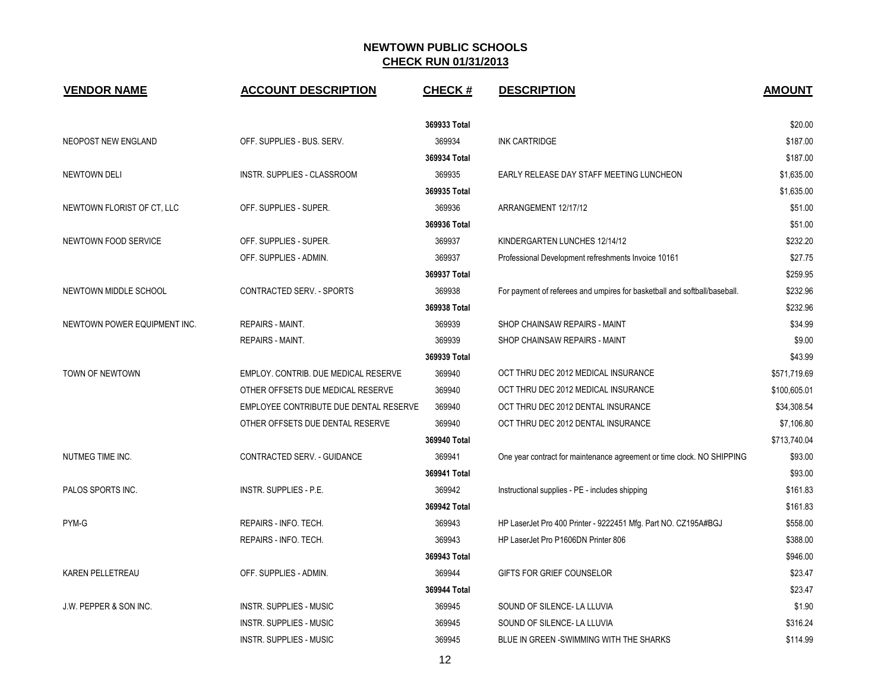| <b>VENDOR NAME</b>           | <b>ACCOUNT DESCRIPTION</b>             | <b>CHECK#</b> | <b>DESCRIPTION</b>                                                        | <b>AMOUNT</b> |
|------------------------------|----------------------------------------|---------------|---------------------------------------------------------------------------|---------------|
|                              |                                        | 369933 Total  |                                                                           | \$20.00       |
| NEOPOST NEW ENGLAND          | OFF. SUPPLIES - BUS. SERV.             | 369934        | <b>INK CARTRIDGE</b>                                                      | \$187.00      |
|                              |                                        | 369934 Total  |                                                                           | \$187.00      |
| <b>NEWTOWN DELI</b>          | INSTR. SUPPLIES - CLASSROOM            | 369935        | EARLY RELEASE DAY STAFF MEETING LUNCHEON                                  | \$1,635.00    |
|                              |                                        | 369935 Total  |                                                                           | \$1,635.00    |
| NEWTOWN FLORIST OF CT, LLC   | OFF. SUPPLIES - SUPER.                 | 369936        | ARRANGEMENT 12/17/12                                                      | \$51.00       |
|                              |                                        | 369936 Total  |                                                                           | \$51.00       |
| NEWTOWN FOOD SERVICE         | OFF. SUPPLIES - SUPER.                 | 369937        | KINDERGARTEN LUNCHES 12/14/12                                             | \$232.20      |
|                              | OFF. SUPPLIES - ADMIN.                 | 369937        | Professional Development refreshments Invoice 10161                       | \$27.75       |
|                              |                                        | 369937 Total  |                                                                           | \$259.95      |
| NEWTOWN MIDDLE SCHOOL        | CONTRACTED SERV. - SPORTS              | 369938        | For payment of referees and umpires for basketball and softball/baseball. | \$232.96      |
|                              |                                        | 369938 Total  |                                                                           | \$232.96      |
| NEWTOWN POWER EQUIPMENT INC. | REPAIRS - MAINT.                       | 369939        | SHOP CHAINSAW REPAIRS - MAINT                                             | \$34.99       |
|                              | REPAIRS - MAINT.                       | 369939        | SHOP CHAINSAW REPAIRS - MAINT                                             | \$9.00        |
|                              |                                        | 369939 Total  |                                                                           | \$43.99       |
| TOWN OF NEWTOWN              | EMPLOY. CONTRIB. DUE MEDICAL RESERVE   | 369940        | OCT THRU DEC 2012 MEDICAL INSURANCE                                       | \$571,719.69  |
|                              | OTHER OFFSETS DUE MEDICAL RESERVE      | 369940        | OCT THRU DEC 2012 MEDICAL INSURANCE                                       | \$100,605.01  |
|                              | EMPLOYEE CONTRIBUTE DUE DENTAL RESERVE | 369940        | OCT THRU DEC 2012 DENTAL INSURANCE                                        | \$34,308.54   |
|                              | OTHER OFFSETS DUE DENTAL RESERVE       | 369940        | OCT THRU DEC 2012 DENTAL INSURANCE                                        | \$7,106.80    |
|                              |                                        | 369940 Total  |                                                                           | \$713,740.04  |
| NUTMEG TIME INC.             | CONTRACTED SERV. - GUIDANCE            | 369941        | One year contract for maintenance agreement or time clock. NO SHIPPING    | \$93.00       |
|                              |                                        | 369941 Total  |                                                                           | \$93.00       |
| PALOS SPORTS INC.            | INSTR. SUPPLIES - P.E.                 | 369942        | Instructional supplies - PE - includes shipping                           | \$161.83      |
|                              |                                        | 369942 Total  |                                                                           | \$161.83      |
| PYM-G                        | REPAIRS - INFO. TECH.                  | 369943        | HP LaserJet Pro 400 Printer - 9222451 Mfg. Part NO. CZ195A#BGJ            | \$558.00      |
|                              | REPAIRS - INFO. TECH.                  | 369943        | HP LaserJet Pro P1606DN Printer 806                                       | \$388.00      |
|                              |                                        | 369943 Total  |                                                                           | \$946.00      |
| <b>KAREN PELLETREAU</b>      | OFF. SUPPLIES - ADMIN.                 | 369944        | GIFTS FOR GRIEF COUNSELOR                                                 | \$23.47       |
|                              |                                        | 369944 Total  |                                                                           | \$23.47       |
| J.W. PEPPER & SON INC.       | <b>INSTR. SUPPLIES - MUSIC</b>         | 369945        | SOUND OF SILENCE- LA LLUVIA                                               | \$1.90        |
|                              | <b>INSTR. SUPPLIES - MUSIC</b>         | 369945        | SOUND OF SILENCE- LA LLUVIA                                               | \$316.24      |
|                              | <b>INSTR. SUPPLIES - MUSIC</b>         | 369945        | BLUE IN GREEN - SWIMMING WITH THE SHARKS                                  | \$114.99      |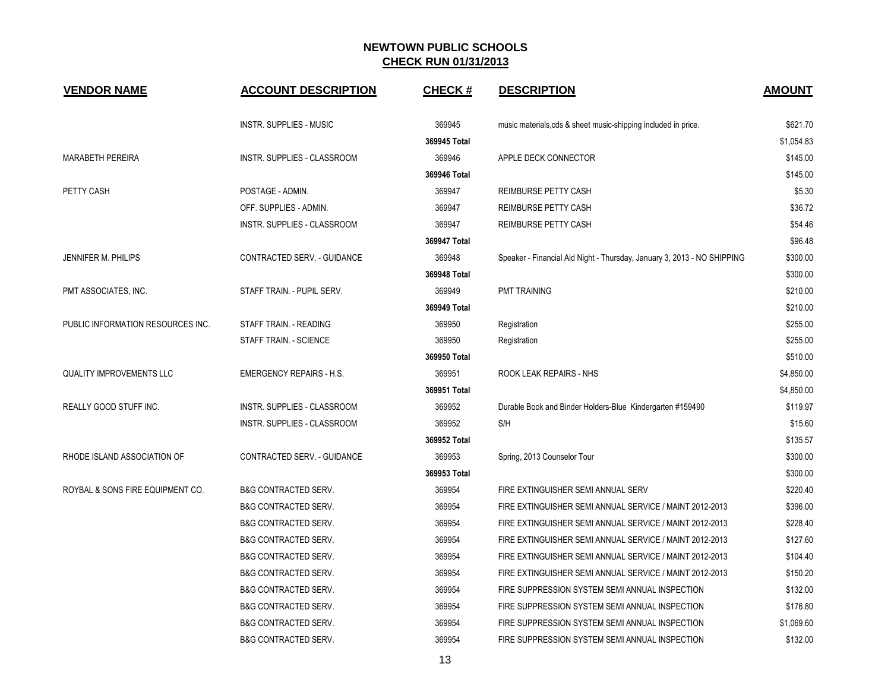| <b>VENDOR NAME</b>                | <b>ACCOUNT DESCRIPTION</b>      | <b>CHECK#</b> | <b>DESCRIPTION</b>                                                      | <b>AMOUNT</b> |
|-----------------------------------|---------------------------------|---------------|-------------------------------------------------------------------------|---------------|
|                                   | <b>INSTR. SUPPLIES - MUSIC</b>  | 369945        | music materials, cds & sheet music-shipping included in price.          | \$621.70      |
|                                   |                                 | 369945 Total  |                                                                         | \$1,054.83    |
| <b>MARABETH PEREIRA</b>           | INSTR. SUPPLIES - CLASSROOM     | 369946        | APPLE DECK CONNECTOR                                                    | \$145.00      |
|                                   |                                 | 369946 Total  |                                                                         | \$145.00      |
| PETTY CASH                        | POSTAGE - ADMIN.                | 369947        | REIMBURSE PETTY CASH                                                    | \$5.30        |
|                                   | OFF. SUPPLIES - ADMIN.          | 369947        | REIMBURSE PETTY CASH                                                    | \$36.72       |
|                                   | INSTR. SUPPLIES - CLASSROOM     | 369947        | REIMBURSE PETTY CASH                                                    | \$54.46       |
|                                   |                                 | 369947 Total  |                                                                         | \$96.48       |
| JENNIFER M. PHILIPS               | CONTRACTED SERV. - GUIDANCE     | 369948        | Speaker - Financial Aid Night - Thursday, January 3, 2013 - NO SHIPPING | \$300.00      |
|                                   |                                 | 369948 Total  |                                                                         | \$300.00      |
| PMT ASSOCIATES, INC.              | STAFF TRAIN. - PUPIL SERV.      | 369949        | <b>PMT TRAINING</b>                                                     | \$210.00      |
|                                   |                                 | 369949 Total  |                                                                         | \$210.00      |
| PUBLIC INFORMATION RESOURCES INC. | STAFF TRAIN. - READING          | 369950        | Registration                                                            | \$255.00      |
|                                   | STAFF TRAIN. - SCIENCE          | 369950        | Registration                                                            | \$255.00      |
|                                   |                                 | 369950 Total  |                                                                         | \$510.00      |
| <b>QUALITY IMPROVEMENTS LLC</b>   | <b>EMERGENCY REPAIRS - H.S.</b> | 369951        | ROOK LEAK REPAIRS - NHS                                                 | \$4,850.00    |
|                                   |                                 | 369951 Total  |                                                                         | \$4,850.00    |
| REALLY GOOD STUFF INC.            | INSTR. SUPPLIES - CLASSROOM     | 369952        | Durable Book and Binder Holders-Blue Kindergarten #159490               | \$119.97      |
|                                   | INSTR. SUPPLIES - CLASSROOM     | 369952        | S/H                                                                     | \$15.60       |
|                                   |                                 | 369952 Total  |                                                                         | \$135.57      |
| RHODE ISLAND ASSOCIATION OF       | CONTRACTED SERV. - GUIDANCE     | 369953        | Spring, 2013 Counselor Tour                                             | \$300.00      |
|                                   |                                 | 369953 Total  |                                                                         | \$300.00      |
| ROYBAL & SONS FIRE EQUIPMENT CO.  | <b>B&amp;G CONTRACTED SERV.</b> | 369954        | FIRE EXTINGUISHER SEMI ANNUAL SERV                                      | \$220.40      |
|                                   | <b>B&amp;G CONTRACTED SERV.</b> | 369954        | FIRE EXTINGUISHER SEMI ANNUAL SERVICE / MAINT 2012-2013                 | \$396.00      |
|                                   | <b>B&amp;G CONTRACTED SERV.</b> | 369954        | FIRE EXTINGUISHER SEMI ANNUAL SERVICE / MAINT 2012-2013                 | \$228.40      |
|                                   | <b>B&amp;G CONTRACTED SERV.</b> | 369954        | FIRE EXTINGUISHER SEMI ANNUAL SERVICE / MAINT 2012-2013                 | \$127.60      |
|                                   | <b>B&amp;G CONTRACTED SERV.</b> | 369954        | FIRE EXTINGUISHER SEMI ANNUAL SERVICE / MAINT 2012-2013                 | \$104.40      |
|                                   | <b>B&amp;G CONTRACTED SERV.</b> | 369954        | FIRE EXTINGUISHER SEMI ANNUAL SERVICE / MAINT 2012-2013                 | \$150.20      |
|                                   | <b>B&amp;G CONTRACTED SERV.</b> | 369954        | FIRE SUPPRESSION SYSTEM SEMI ANNUAL INSPECTION                          | \$132.00      |
|                                   | <b>B&amp;G CONTRACTED SERV.</b> | 369954        | FIRE SUPPRESSION SYSTEM SEMI ANNUAL INSPECTION                          | \$176.80      |
|                                   | <b>B&amp;G CONTRACTED SERV.</b> | 369954        | FIRE SUPPRESSION SYSTEM SEMI ANNUAL INSPECTION                          | \$1,069.60    |
|                                   | <b>B&amp;G CONTRACTED SERV.</b> | 369954        | FIRE SUPPRESSION SYSTEM SEMI ANNUAL INSPECTION                          | \$132.00      |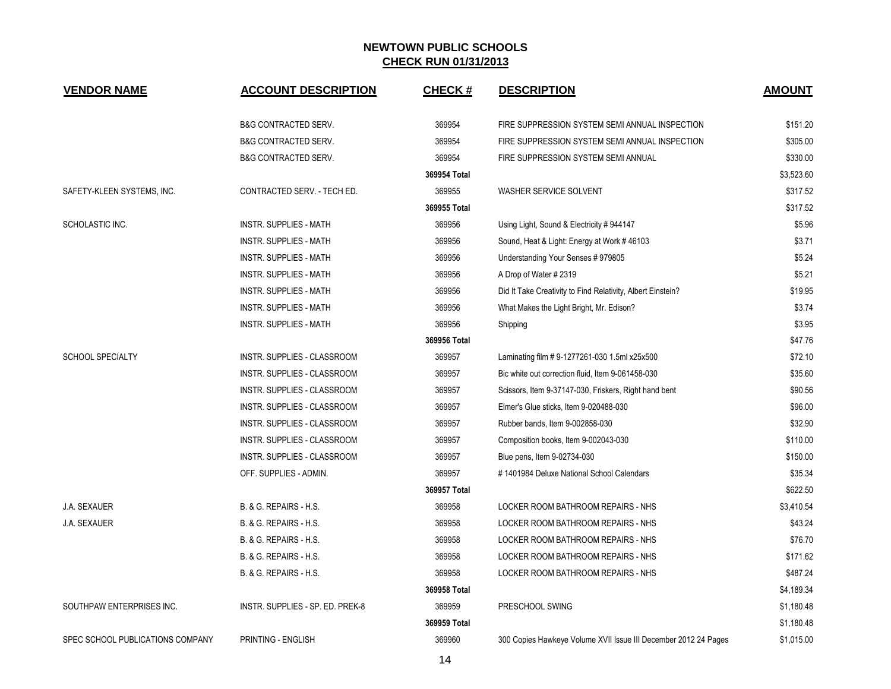| <b>VENDOR NAME</b>               | <b>ACCOUNT DESCRIPTION</b>       | <b>CHECK#</b> | <b>DESCRIPTION</b>                                              | <b>AMOUNT</b> |
|----------------------------------|----------------------------------|---------------|-----------------------------------------------------------------|---------------|
|                                  | <b>B&amp;G CONTRACTED SERV.</b>  | 369954        | FIRE SUPPRESSION SYSTEM SEMI ANNUAL INSPECTION                  | \$151.20      |
|                                  | <b>B&amp;G CONTRACTED SERV.</b>  | 369954        | FIRE SUPPRESSION SYSTEM SEMI ANNUAL INSPECTION                  | \$305.00      |
|                                  | <b>B&amp;G CONTRACTED SERV.</b>  | 369954        | FIRE SUPPRESSION SYSTEM SEMI ANNUAL                             | \$330.00      |
|                                  |                                  | 369954 Total  |                                                                 | \$3,523.60    |
| SAFETY-KLEEN SYSTEMS. INC.       | CONTRACTED SERV. - TECH ED.      | 369955        | WASHER SERVICE SOLVENT                                          | \$317.52      |
|                                  |                                  | 369955 Total  |                                                                 | \$317.52      |
| SCHOLASTIC INC.                  | <b>INSTR. SUPPLIES - MATH</b>    | 369956        | Using Light, Sound & Electricity # 944147                       | \$5.96        |
|                                  | <b>INSTR. SUPPLIES - MATH</b>    | 369956        | Sound, Heat & Light: Energy at Work #46103                      | \$3.71        |
|                                  | <b>INSTR. SUPPLIES - MATH</b>    | 369956        | Understanding Your Senses #979805                               | \$5.24        |
|                                  | <b>INSTR. SUPPLIES - MATH</b>    | 369956        | A Drop of Water #2319                                           | \$5.21        |
|                                  | INSTR. SUPPLIES - MATH           | 369956        | Did It Take Creativity to Find Relativity, Albert Einstein?     | \$19.95       |
|                                  | <b>INSTR. SUPPLIES - MATH</b>    | 369956        | What Makes the Light Bright, Mr. Edison?                        | \$3.74        |
|                                  | <b>INSTR. SUPPLIES - MATH</b>    | 369956        | Shipping                                                        | \$3.95        |
|                                  |                                  | 369956 Total  |                                                                 | \$47.76       |
| <b>SCHOOL SPECIALTY</b>          | INSTR. SUPPLIES - CLASSROOM      | 369957        | Laminating film #9-1277261-030 1.5ml x25x500                    | \$72.10       |
|                                  | INSTR. SUPPLIES - CLASSROOM      | 369957        | Bic white out correction fluid, Item 9-061458-030               | \$35.60       |
|                                  | INSTR. SUPPLIES - CLASSROOM      | 369957        | Scissors, Item 9-37147-030, Friskers, Right hand bent           | \$90.56       |
|                                  | INSTR. SUPPLIES - CLASSROOM      | 369957        | Elmer's Glue sticks, Item 9-020488-030                          | \$96.00       |
|                                  | INSTR. SUPPLIES - CLASSROOM      | 369957        | Rubber bands, Item 9-002858-030                                 | \$32.90       |
|                                  | INSTR. SUPPLIES - CLASSROOM      | 369957        | Composition books, Item 9-002043-030                            | \$110.00      |
|                                  | INSTR. SUPPLIES - CLASSROOM      | 369957        | Blue pens, Item 9-02734-030                                     | \$150.00      |
|                                  | OFF. SUPPLIES - ADMIN.           | 369957        | #1401984 Deluxe National School Calendars                       | \$35.34       |
|                                  |                                  | 369957 Total  |                                                                 | \$622.50      |
| <b>J.A. SEXAUER</b>              | B. & G. REPAIRS - H.S.           | 369958        | LOCKER ROOM BATHROOM REPAIRS - NHS                              | \$3,410.54    |
| J.A. SEXAUER                     | B. & G. REPAIRS - H.S.           | 369958        | LOCKER ROOM BATHROOM REPAIRS - NHS                              | \$43.24       |
|                                  | B. & G. REPAIRS - H.S.           | 369958        | LOCKER ROOM BATHROOM REPAIRS - NHS                              | \$76.70       |
|                                  | B. & G. REPAIRS - H.S.           | 369958        | LOCKER ROOM BATHROOM REPAIRS - NHS                              | \$171.62      |
|                                  | B. & G. REPAIRS - H.S.           | 369958        | LOCKER ROOM BATHROOM REPAIRS - NHS                              | \$487.24      |
|                                  |                                  | 369958 Total  |                                                                 | \$4,189.34    |
| SOUTHPAW ENTERPRISES INC.        | INSTR. SUPPLIES - SP. ED. PREK-8 | 369959        | PRESCHOOL SWING                                                 | \$1,180.48    |
|                                  |                                  | 369959 Total  |                                                                 | \$1,180.48    |
| SPEC SCHOOL PUBLICATIONS COMPANY | PRINTING - ENGLISH               | 369960        | 300 Copies Hawkeye Volume XVII Issue III December 2012 24 Pages | \$1,015.00    |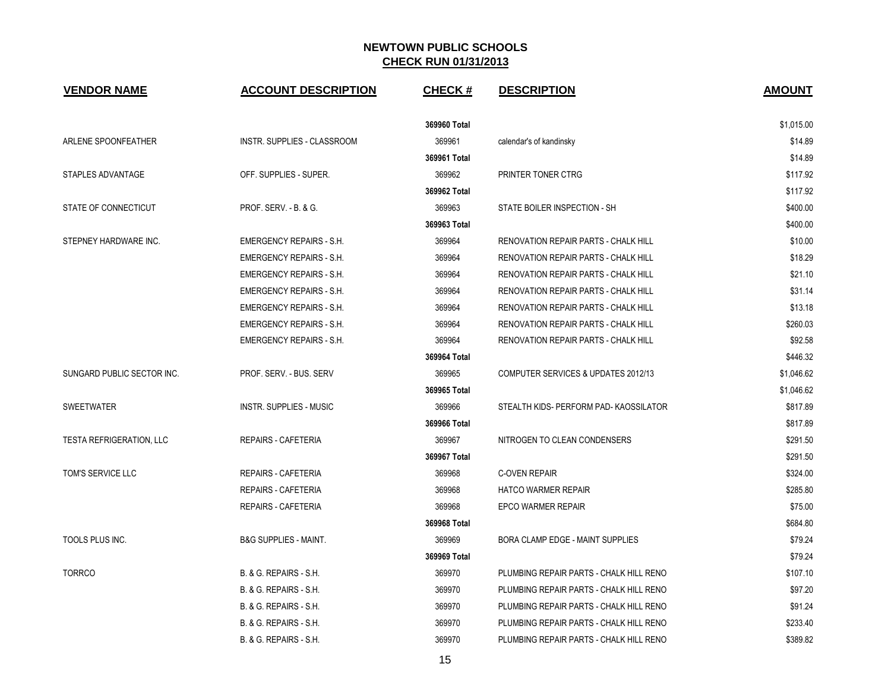| <b>VENDOR NAME</b>              | <b>ACCOUNT DESCRIPTION</b>        | <b>CHECK#</b> | <b>DESCRIPTION</b>                          | <b>AMOUNT</b> |
|---------------------------------|-----------------------------------|---------------|---------------------------------------------|---------------|
|                                 |                                   | 369960 Total  |                                             | \$1,015.00    |
| ARLENE SPOONFEATHER             | INSTR. SUPPLIES - CLASSROOM       | 369961        | calendar's of kandinsky                     | \$14.89       |
|                                 |                                   | 369961 Total  |                                             | \$14.89       |
| STAPLES ADVANTAGE               | OFF. SUPPLIES - SUPER.            | 369962        | PRINTER TONER CTRG                          | \$117.92      |
|                                 |                                   | 369962 Total  |                                             | \$117.92      |
| STATE OF CONNECTICUT            | PROF. SERV. - B. & G.             | 369963        | STATE BOILER INSPECTION - SH                | \$400.00      |
|                                 |                                   | 369963 Total  |                                             | \$400.00      |
| STEPNEY HARDWARE INC.           | <b>EMERGENCY REPAIRS - S.H.</b>   | 369964        | <b>RENOVATION REPAIR PARTS - CHALK HILL</b> | \$10.00       |
|                                 | <b>EMERGENCY REPAIRS - S.H.</b>   | 369964        | <b>RENOVATION REPAIR PARTS - CHALK HILL</b> | \$18.29       |
|                                 | <b>EMERGENCY REPAIRS - S.H.</b>   | 369964        | <b>RENOVATION REPAIR PARTS - CHALK HILL</b> | \$21.10       |
|                                 | <b>EMERGENCY REPAIRS - S.H.</b>   | 369964        | <b>RENOVATION REPAIR PARTS - CHALK HILL</b> | \$31.14       |
|                                 | <b>EMERGENCY REPAIRS - S.H.</b>   | 369964        | <b>RENOVATION REPAIR PARTS - CHALK HILL</b> | \$13.18       |
|                                 | <b>EMERGENCY REPAIRS - S.H.</b>   | 369964        | <b>RENOVATION REPAIR PARTS - CHALK HILL</b> | \$260.03      |
|                                 | <b>EMERGENCY REPAIRS - S.H.</b>   | 369964        | RENOVATION REPAIR PARTS - CHALK HILL        | \$92.58       |
|                                 |                                   | 369964 Total  |                                             | \$446.32      |
| SUNGARD PUBLIC SECTOR INC.      | PROF. SERV. - BUS. SERV           | 369965        | COMPUTER SERVICES & UPDATES 2012/13         | \$1,046.62    |
|                                 |                                   | 369965 Total  |                                             | \$1,046.62    |
| <b>SWEETWATER</b>               | INSTR. SUPPLIES - MUSIC           | 369966        | STEALTH KIDS- PERFORM PAD- KAOSSILATOR      | \$817.89      |
|                                 |                                   | 369966 Total  |                                             | \$817.89      |
| <b>TESTA REFRIGERATION, LLC</b> | <b>REPAIRS - CAFETERIA</b>        | 369967        | NITROGEN TO CLEAN CONDENSERS                | \$291.50      |
|                                 |                                   | 369967 Total  |                                             | \$291.50      |
| TOM'S SERVICE LLC               | REPAIRS - CAFETERIA               | 369968        | <b>C-OVEN REPAIR</b>                        | \$324.00      |
|                                 | <b>REPAIRS - CAFETERIA</b>        | 369968        | <b>HATCO WARMER REPAIR</b>                  | \$285.80      |
|                                 | <b>REPAIRS - CAFETERIA</b>        | 369968        | <b>EPCO WARMER REPAIR</b>                   | \$75.00       |
|                                 |                                   | 369968 Total  |                                             | \$684.80      |
| TOOLS PLUS INC.                 | <b>B&amp;G SUPPLIES - MAINT.</b>  | 369969        | BORA CLAMP EDGE - MAINT SUPPLIES            | \$79.24       |
|                                 |                                   | 369969 Total  |                                             | \$79.24       |
| <b>TORRCO</b>                   | B. & G. REPAIRS - S.H.            | 369970        | PLUMBING REPAIR PARTS - CHALK HILL RENO     | \$107.10      |
|                                 | <b>B. &amp; G. REPAIRS - S.H.</b> | 369970        | PLUMBING REPAIR PARTS - CHALK HILL RENO     | \$97.20       |
|                                 | B. & G. REPAIRS - S.H.            | 369970        | PLUMBING REPAIR PARTS - CHALK HILL RENO     | \$91.24       |
|                                 | B. & G. REPAIRS - S.H.            | 369970        | PLUMBING REPAIR PARTS - CHALK HILL RENO     | \$233.40      |
|                                 | B. & G. REPAIRS - S.H.            | 369970        | PLUMBING REPAIR PARTS - CHALK HILL RENO     | \$389.82      |
|                                 |                                   |               |                                             |               |